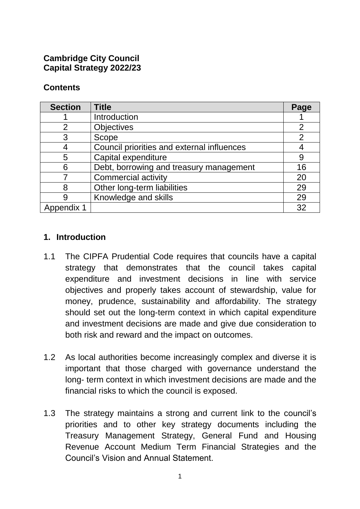### **Cambridge City Council Capital Strategy 2022/23**

# **Contents**

| <b>Section</b> | <b>Title</b>                               | Page           |
|----------------|--------------------------------------------|----------------|
|                | Introduction                               |                |
| 2              | <b>Objectives</b>                          | $\overline{2}$ |
| 3              | Scope                                      | $\overline{2}$ |
| 4              | Council priorities and external influences |                |
| 5              | Capital expenditure                        | 9              |
| 6              | Debt, borrowing and treasury management    | 16             |
|                | <b>Commercial activity</b>                 | 20             |
| 8              | Other long-term liabilities                | 29             |
| 9              | Knowledge and skills                       | 29             |
| Appendix 1     |                                            | 32             |

# **1. Introduction**

- 1.1 The CIPFA Prudential Code requires that councils have a capital strategy that demonstrates that the council takes capital expenditure and investment decisions in line with service objectives and properly takes account of stewardship, value for money, prudence, sustainability and affordability. The strategy should set out the long-term context in which capital expenditure and investment decisions are made and give due consideration to both risk and reward and the impact on outcomes.
- 1.2 As local authorities become increasingly complex and diverse it is important that those charged with governance understand the long- term context in which investment decisions are made and the financial risks to which the council is exposed.
- 1.3 The strategy maintains a strong and current link to the council's priorities and to other key strategy documents including the Treasury Management Strategy, General Fund and Housing Revenue Account Medium Term Financial Strategies and the Council's Vision and Annual Statement.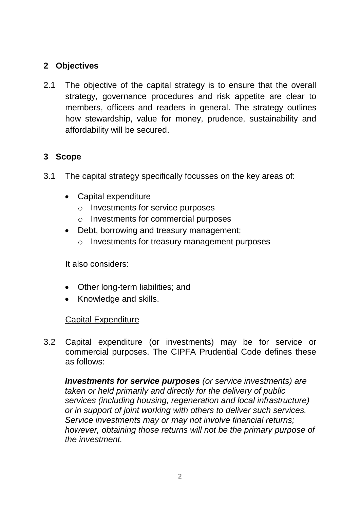# **2 Objectives**

2.1 The objective of the capital strategy is to ensure that the overall strategy, governance procedures and risk appetite are clear to members, officers and readers in general. The strategy outlines how stewardship, value for money, prudence, sustainability and affordability will be secured.

# **3 Scope**

- 3.1 The capital strategy specifically focusses on the key areas of:
	- Capital expenditure
		- o Investments for service purposes
		- o Investments for commercial purposes
	- Debt, borrowing and treasury management;
		- o Investments for treasury management purposes

It also considers:

- Other long-term liabilities; and
- Knowledge and skills.

### Capital Expenditure

3.2 Capital expenditure (or investments) may be for service or commercial purposes. The CIPFA Prudential Code defines these as follows:

*Investments for service purposes (or service investments) are taken or held primarily and directly for the delivery of public services (including housing, regeneration and local infrastructure) or in support of joint working with others to deliver such services. Service investments may or may not involve financial returns; however, obtaining those returns will not be the primary purpose of the investment.*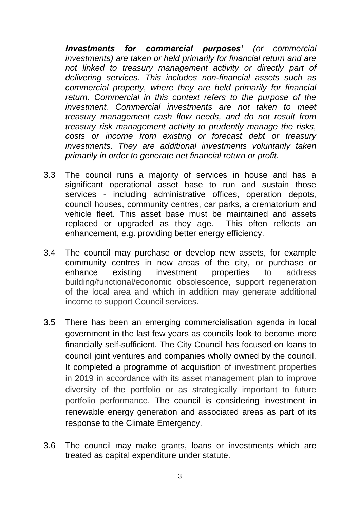*Investments for commercial purposes' (or commercial investments) are taken or held primarily for financial return and are not linked to treasury management activity or directly part of delivering services. This includes non-financial assets such as commercial property, where they are held primarily for financial return. Commercial in this context refers to the purpose of the investment. Commercial investments are not taken to meet treasury management cash flow needs, and do not result from treasury risk management activity to prudently manage the risks, costs or income from existing or forecast debt or treasury investments. They are additional investments voluntarily taken primarily in order to generate net financial return or profit.*

- 3.3 The council runs a majority of services in house and has a significant operational asset base to run and sustain those services - including administrative offices, operation depots, council houses, community centres, car parks, a crematorium and vehicle fleet. This asset base must be maintained and assets replaced or upgraded as they age. This often reflects an enhancement, e.g. providing better energy efficiency.
- 3.4 The council may purchase or develop new assets, for example community centres in new areas of the city, or purchase or enhance existing investment properties to address building/functional/economic obsolescence, support regeneration of the local area and which in addition may generate additional income to support Council services.
- 3.5 There has been an emerging commercialisation agenda in local government in the last few years as councils look to become more financially self-sufficient. The City Council has focused on loans to council joint ventures and companies wholly owned by the council. It completed a programme of acquisition of investment properties in 2019 in accordance with its asset management plan to improve diversity of the portfolio or as strategically important to future portfolio performance. The council is considering investment in renewable energy generation and associated areas as part of its response to the Climate Emergency.
- 3.6 The council may make grants, loans or investments which are treated as capital expenditure under statute.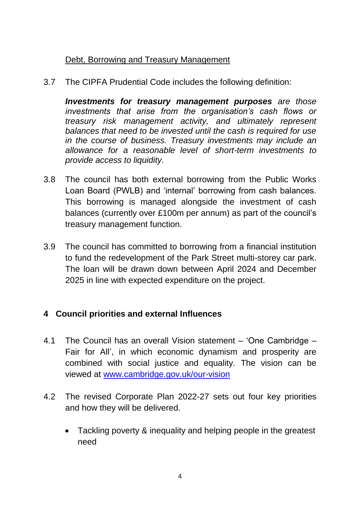# Debt, Borrowing and Treasury Management

3.7 The CIPFA Prudential Code includes the following definition:

*Investments for treasury management purposes are those investments that arise from the organisation's cash flows or treasury risk management activity, and ultimately represent balances that need to be invested until the cash is required for use in the course of business. Treasury investments may include an allowance for a reasonable level of short-term investments to provide access to liquidity.*

- 3.8 The council has both external borrowing from the Public Works Loan Board (PWLB) and 'internal' borrowing from cash balances. This borrowing is managed alongside the investment of cash balances (currently over £100m per annum) as part of the council's treasury management function.
- 3.9 The council has committed to borrowing from a financial institution to fund the redevelopment of the Park Street multi-storey car park. The loan will be drawn down between April 2024 and December 2025 in line with expected expenditure on the project.

# **4 Council priorities and external Influences**

- 4.1 The Council has an overall Vision statement 'One Cambridge Fair for All', in which economic dynamism and prosperity are combined with social justice and equality. The vision can be viewed at [www.cambridge.gov.uk/our-vision](https://www.cambridge.gov.uk/our-vision)
- 4.2 The revised Corporate Plan 2022-27 sets out four key priorities and how they will be delivered.
	- Tackling poverty & inequality and helping people in the greatest need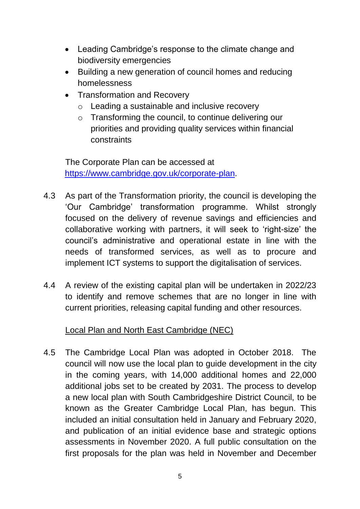- Leading Cambridge's response to the climate change and biodiversity emergencies
- Building a new generation of council homes and reducing homelessness
- Transformation and Recovery
	- o Leading a sustainable and inclusive recovery
	- o Transforming the council, to continue delivering our priorities and providing quality services within financial constraints

The Corporate Plan can be accessed at [https://www.cambridge.gov.uk/c](https://www.cambridge.gov.uk/)orporate-plan.

- 4.3 As part of the Transformation priority, the council is developing the 'Our Cambridge' transformation programme. Whilst strongly focused on the delivery of revenue savings and efficiencies and collaborative working with partners, it will seek to 'right-size' the council's administrative and operational estate in line with the needs of transformed services, as well as to procure and implement ICT systems to support the digitalisation of services.
- 4.4 A review of the existing capital plan will be undertaken in 2022/23 to identify and remove schemes that are no longer in line with current priorities, releasing capital funding and other resources.

# Local Plan and North East Cambridge (NEC)

4.5 The Cambridge Local Plan was adopted in October 2018. The council will now use the local plan to guide development in the city in the coming years, with 14,000 additional homes and 22,000 additional jobs set to be created by 2031. The process to develop a new local plan with South Cambridgeshire District Council, to be known as the Greater Cambridge Local Plan, has begun. This included an initial consultation held in January and February 2020, and publication of an initial evidence base and strategic options assessments in November 2020. A full public consultation on the first proposals for the plan was held in November and December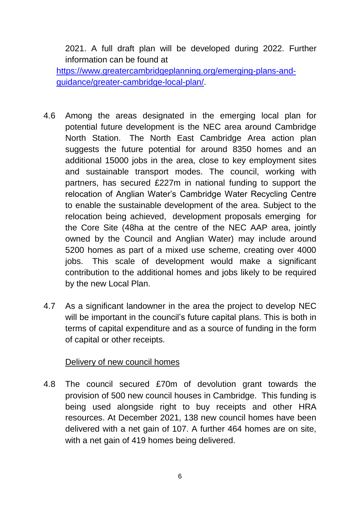2021. A full draft plan will be developed during 2022. Further information can be found at

[https://www.greatercambridgeplanning.org/emerging-plans-and](https://www.greatercambridgeplanning.org/emerging-plans-and-guidance/greater-cambridge-local-plan/)[guidance/greater-cambridge-local-plan/.](https://www.greatercambridgeplanning.org/emerging-plans-and-guidance/greater-cambridge-local-plan/)

- 4.6 Among the areas designated in the emerging local plan for potential future development is the NEC area around Cambridge North Station. The North East Cambridge Area action plan suggests the future potential for around 8350 homes and an additional 15000 jobs in the area, close to key employment sites and sustainable transport modes. The council, working with partners, has secured £227m in national funding to support the relocation of Anglian Water's Cambridge Water Recycling Centre to enable the sustainable development of the area. Subject to the relocation being achieved, development proposals emerging for the Core Site (48ha at the centre of the NEC AAP area, jointly owned by the Council and Anglian Water) may include around 5200 homes as part of a mixed use scheme, creating over 4000 jobs. This scale of development would make a significant contribution to the additional homes and jobs likely to be required by the new Local Plan.
- 4.7 As a significant landowner in the area the project to develop NEC will be important in the council's future capital plans. This is both in terms of capital expenditure and as a source of funding in the form of capital or other receipts.

### Delivery of new council homes

4.8 The council secured £70m of devolution grant towards the provision of 500 new council houses in Cambridge. This funding is being used alongside right to buy receipts and other HRA resources. At December 2021, 138 new council homes have been delivered with a net gain of 107. A further 464 homes are on site, with a net gain of 419 homes being delivered.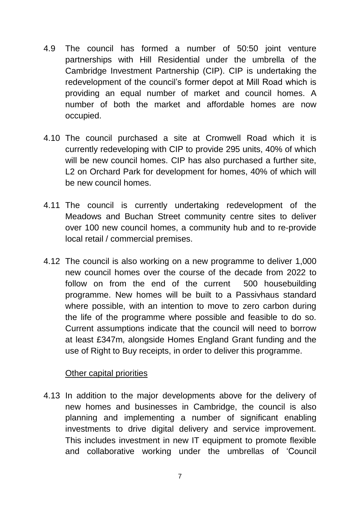- 4.9 The council has formed a number of 50:50 joint venture partnerships with Hill Residential under the umbrella of the Cambridge Investment Partnership (CIP). CIP is undertaking the redevelopment of the council's former depot at Mill Road which is providing an equal number of market and council homes. A number of both the market and affordable homes are now occupied.
- 4.10 The council purchased a site at Cromwell Road which it is currently redeveloping with CIP to provide 295 units, 40% of which will be new council homes. CIP has also purchased a further site, L2 on Orchard Park for development for homes, 40% of which will be new council homes.
- 4.11 The council is currently undertaking redevelopment of the Meadows and Buchan Street community centre sites to deliver over 100 new council homes, a community hub and to re-provide local retail / commercial premises.
- 4.12 The council is also working on a new programme to deliver 1,000 new council homes over the course of the decade from 2022 to follow on from the end of the current 500 housebuilding programme. New homes will be built to a Passivhaus standard where possible, with an intention to move to zero carbon during the life of the programme where possible and feasible to do so. Current assumptions indicate that the council will need to borrow at least £347m, alongside Homes England Grant funding and the use of Right to Buy receipts, in order to deliver this programme.

### Other capital priorities

4.13 In addition to the major developments above for the delivery of new homes and businesses in Cambridge, the council is also planning and implementing a number of significant enabling investments to drive digital delivery and service improvement. This includes investment in new IT equipment to promote flexible and collaborative working under the umbrellas of 'Council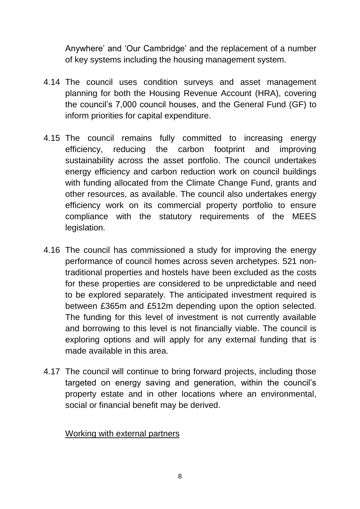Anywhere' and 'Our Cambridge' and the replacement of a number of key systems including the housing management system.

- 4.14 The council uses condition surveys and asset management planning for both the Housing Revenue Account (HRA), covering the council's 7,000 council houses, and the General Fund (GF) to inform priorities for capital expenditure.
- 4.15 The council remains fully committed to increasing energy efficiency, reducing the carbon footprint and improving sustainability across the asset portfolio. The council undertakes energy efficiency and carbon reduction work on council buildings with funding allocated from the Climate Change Fund, grants and other resources, as available. The council also undertakes energy efficiency work on its commercial property portfolio to ensure compliance with the statutory requirements of the MEES legislation.
- 4.16 The council has commissioned a study for improving the energy performance of council homes across seven archetypes. 521 nontraditional properties and hostels have been excluded as the costs for these properties are considered to be unpredictable and need to be explored separately. The anticipated investment required is between £365m and £512m depending upon the option selected. The funding for this level of investment is not currently available and borrowing to this level is not financially viable. The council is exploring options and will apply for any external funding that is made available in this area.
- 4.17 The council will continue to bring forward projects, including those targeted on energy saving and generation, within the council's property estate and in other locations where an environmental, social or financial benefit may be derived.

### Working with external partners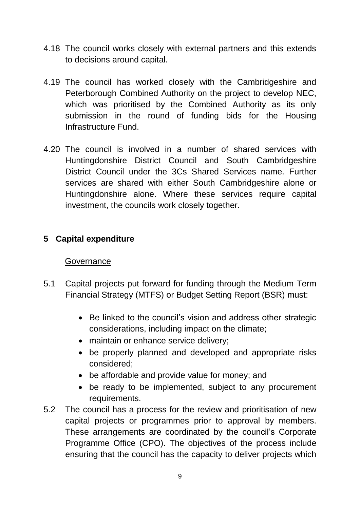- 4.18 The council works closely with external partners and this extends to decisions around capital.
- 4.19 The council has worked closely with the Cambridgeshire and Peterborough Combined Authority on the project to develop NEC, which was prioritised by the Combined Authority as its only submission in the round of funding bids for the Housing Infrastructure Fund.
- 4.20 The council is involved in a number of shared services with Huntingdonshire District Council and South Cambridgeshire District Council under the 3Cs Shared Services name. Further services are shared with either South Cambridgeshire alone or Huntingdonshire alone. Where these services require capital investment, the councils work closely together.

# **5 Capital expenditure**

### **Governance**

- 5.1 Capital projects put forward for funding through the Medium Term Financial Strategy (MTFS) or Budget Setting Report (BSR) must:
	- Be linked to the council's vision and address other strategic considerations, including impact on the climate;
	- maintain or enhance service delivery;
	- be properly planned and developed and appropriate risks considered;
	- be affordable and provide value for money; and
	- be ready to be implemented, subject to any procurement requirements.
- 5.2 The council has a process for the review and prioritisation of new capital projects or programmes prior to approval by members. These arrangements are coordinated by the council's Corporate Programme Office (CPO). The objectives of the process include ensuring that the council has the capacity to deliver projects which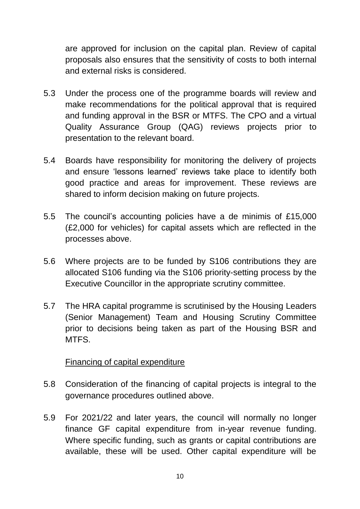are approved for inclusion on the capital plan. Review of capital proposals also ensures that the sensitivity of costs to both internal and external risks is considered.

- 5.3 Under the process one of the programme boards will review and make recommendations for the political approval that is required and funding approval in the BSR or MTFS. The CPO and a virtual Quality Assurance Group (QAG) reviews projects prior to presentation to the relevant board.
- 5.4 Boards have responsibility for monitoring the delivery of projects and ensure 'lessons learned' reviews take place to identify both good practice and areas for improvement. These reviews are shared to inform decision making on future projects.
- 5.5 The council's accounting policies have a de minimis of £15,000 (£2,000 for vehicles) for capital assets which are reflected in the processes above.
- 5.6 Where projects are to be funded by S106 contributions they are allocated S106 funding via the S106 priority-setting process by the Executive Councillor in the appropriate scrutiny committee.
- 5.7 The HRA capital programme is scrutinised by the Housing Leaders (Senior Management) Team and Housing Scrutiny Committee prior to decisions being taken as part of the Housing BSR and **MTFS**

### Financing of capital expenditure

- 5.8 Consideration of the financing of capital projects is integral to the governance procedures outlined above.
- 5.9 For 2021/22 and later years, the council will normally no longer finance GF capital expenditure from in-year revenue funding. Where specific funding, such as grants or capital contributions are available, these will be used. Other capital expenditure will be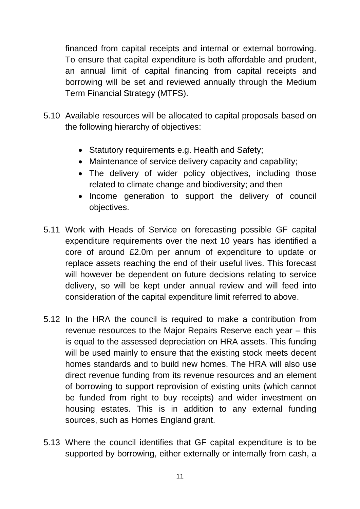financed from capital receipts and internal or external borrowing. To ensure that capital expenditure is both affordable and prudent, an annual limit of capital financing from capital receipts and borrowing will be set and reviewed annually through the Medium Term Financial Strategy (MTFS).

- 5.10 Available resources will be allocated to capital proposals based on the following hierarchy of objectives:
	- Statutory requirements e.g. Health and Safety;
	- Maintenance of service delivery capacity and capability;
	- The delivery of wider policy objectives, including those related to climate change and biodiversity; and then
	- Income generation to support the delivery of council objectives.
- 5.11 Work with Heads of Service on forecasting possible GF capital expenditure requirements over the next 10 years has identified a core of around £2.0m per annum of expenditure to update or replace assets reaching the end of their useful lives. This forecast will however be dependent on future decisions relating to service delivery, so will be kept under annual review and will feed into consideration of the capital expenditure limit referred to above.
- 5.12 In the HRA the council is required to make a contribution from revenue resources to the Major Repairs Reserve each year – this is equal to the assessed depreciation on HRA assets. This funding will be used mainly to ensure that the existing stock meets decent homes standards and to build new homes. The HRA will also use direct revenue funding from its revenue resources and an element of borrowing to support reprovision of existing units (which cannot be funded from right to buy receipts) and wider investment on housing estates. This is in addition to any external funding sources, such as Homes England grant.
- 5.13 Where the council identifies that GF capital expenditure is to be supported by borrowing, either externally or internally from cash, a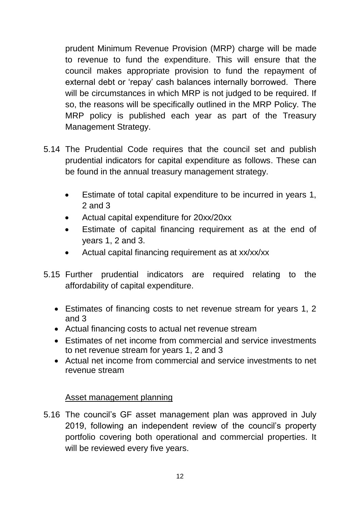prudent Minimum Revenue Provision (MRP) charge will be made to revenue to fund the expenditure. This will ensure that the council makes appropriate provision to fund the repayment of external debt or 'repay' cash balances internally borrowed. There will be circumstances in which MRP is not judged to be required. If so, the reasons will be specifically outlined in the MRP Policy. The MRP policy is published each year as part of the Treasury Management Strategy.

- 5.14 The Prudential Code requires that the council set and publish prudential indicators for capital expenditure as follows. These can be found in the annual treasury management strategy.
	- Estimate of total capital expenditure to be incurred in years 1, 2 and 3
	- Actual capital expenditure for 20xx/20xx
	- Estimate of capital financing requirement as at the end of years 1, 2 and 3.
	- Actual capital financing requirement as at xx/xx/xx
- 5.15 Further prudential indicators are required relating to the affordability of capital expenditure.
	- Estimates of financing costs to net revenue stream for years 1, 2 and 3
	- Actual financing costs to actual net revenue stream
	- Estimates of net income from commercial and service investments to net revenue stream for years 1, 2 and 3
	- Actual net income from commercial and service investments to net revenue stream

# Asset management planning

5.16 The council's GF asset management plan was approved in July 2019, following an independent review of the council's property portfolio covering both operational and commercial properties. It will be reviewed every five years.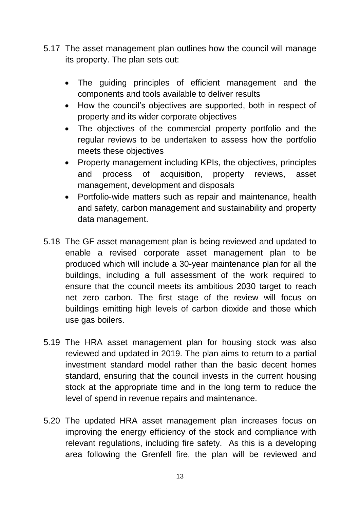- 5.17 The asset management plan outlines how the council will manage its property. The plan sets out:
	- The guiding principles of efficient management and the components and tools available to deliver results
	- How the council's objectives are supported, both in respect of property and its wider corporate objectives
	- The objectives of the commercial property portfolio and the regular reviews to be undertaken to assess how the portfolio meets these objectives
	- Property management including KPIs, the objectives, principles and process of acquisition, property reviews, asset management, development and disposals
	- Portfolio-wide matters such as repair and maintenance, health and safety, carbon management and sustainability and property data management.
- 5.18 The GF asset management plan is being reviewed and updated to enable a revised corporate asset management plan to be produced which will include a 30-year maintenance plan for all the buildings, including a full assessment of the work required to ensure that the council meets its ambitious 2030 target to reach net zero carbon. The first stage of the review will focus on buildings emitting high levels of carbon dioxide and those which use gas boilers.
- 5.19 The HRA asset management plan for housing stock was also reviewed and updated in 2019. The plan aims to return to a partial investment standard model rather than the basic decent homes standard, ensuring that the council invests in the current housing stock at the appropriate time and in the long term to reduce the level of spend in revenue repairs and maintenance.
- 5.20 The updated HRA asset management plan increases focus on improving the energy efficiency of the stock and compliance with relevant regulations, including fire safety. As this is a developing area following the Grenfell fire, the plan will be reviewed and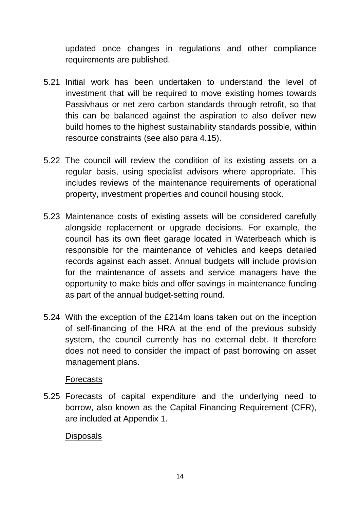updated once changes in regulations and other compliance requirements are published.

- 5.21 Initial work has been undertaken to understand the level of investment that will be required to move existing homes towards Passivhaus or net zero carbon standards through retrofit, so that this can be balanced against the aspiration to also deliver new build homes to the highest sustainability standards possible, within resource constraints (see also para 4.15).
- 5.22 The council will review the condition of its existing assets on a regular basis, using specialist advisors where appropriate. This includes reviews of the maintenance requirements of operational property, investment properties and council housing stock.
- 5.23 Maintenance costs of existing assets will be considered carefully alongside replacement or upgrade decisions. For example, the council has its own fleet garage located in Waterbeach which is responsible for the maintenance of vehicles and keeps detailed records against each asset. Annual budgets will include provision for the maintenance of assets and service managers have the opportunity to make bids and offer savings in maintenance funding as part of the annual budget-setting round.
- 5.24 With the exception of the £214m loans taken out on the inception of self-financing of the HRA at the end of the previous subsidy system, the council currently has no external debt. It therefore does not need to consider the impact of past borrowing on asset management plans.

### Forecasts

5.25 Forecasts of capital expenditure and the underlying need to borrow, also known as the Capital Financing Requirement (CFR), are included at Appendix 1.

### **Disposals**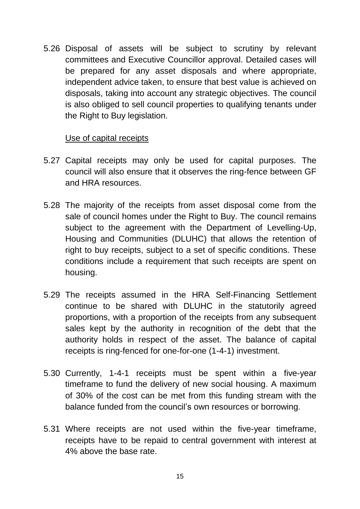5.26 Disposal of assets will be subject to scrutiny by relevant committees and Executive Councillor approval. Detailed cases will be prepared for any asset disposals and where appropriate, independent advice taken, to ensure that best value is achieved on disposals, taking into account any strategic objectives. The council is also obliged to sell council properties to qualifying tenants under the Right to Buy legislation.

### Use of capital receipts

- 5.27 Capital receipts may only be used for capital purposes. The council will also ensure that it observes the ring-fence between GF and HRA resources.
- 5.28 The majority of the receipts from asset disposal come from the sale of council homes under the Right to Buy. The council remains subject to the agreement with the Department of Levelling-Up, Housing and Communities (DLUHC) that allows the retention of right to buy receipts, subject to a set of specific conditions. These conditions include a requirement that such receipts are spent on housing.
- 5.29 The receipts assumed in the HRA Self-Financing Settlement continue to be shared with DLUHC in the statutorily agreed proportions, with a proportion of the receipts from any subsequent sales kept by the authority in recognition of the debt that the authority holds in respect of the asset. The balance of capital receipts is ring-fenced for one-for-one (1-4-1) investment.
- 5.30 Currently, 1-4-1 receipts must be spent within a five-year timeframe to fund the delivery of new social housing. A maximum of 30% of the cost can be met from this funding stream with the balance funded from the council's own resources or borrowing.
- 5.31 Where receipts are not used within the five-year timeframe, receipts have to be repaid to central government with interest at 4% above the base rate.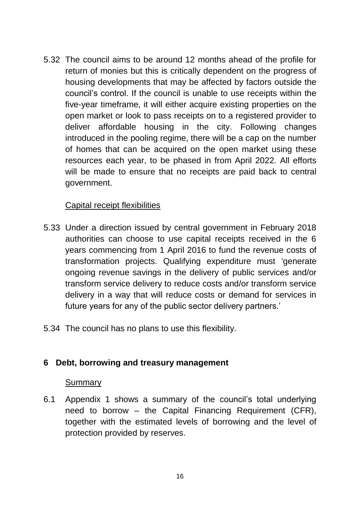5.32 The council aims to be around 12 months ahead of the profile for return of monies but this is critically dependent on the progress of housing developments that may be affected by factors outside the council's control. If the council is unable to use receipts within the five-year timeframe, it will either acquire existing properties on the open market or look to pass receipts on to a registered provider to deliver affordable housing in the city. Following changes introduced in the pooling regime, there will be a cap on the number of homes that can be acquired on the open market using these resources each year, to be phased in from April 2022. All efforts will be made to ensure that no receipts are paid back to central government.

### Capital receipt flexibilities

- 5.33 Under a direction issued by central government in February 2018 authorities can choose to use capital receipts received in the 6 years commencing from 1 April 2016 to fund the revenue costs of transformation projects. Qualifying expenditure must 'generate ongoing revenue savings in the delivery of public services and/or transform service delivery to reduce costs and/or transform service delivery in a way that will reduce costs or demand for services in future years for any of the public sector delivery partners.'
- 5.34 The council has no plans to use this flexibility.

### **6 Debt, borrowing and treasury management**

#### **Summary**

6.1 Appendix 1 shows a summary of the council's total underlying need to borrow – the Capital Financing Requirement (CFR), together with the estimated levels of borrowing and the level of protection provided by reserves.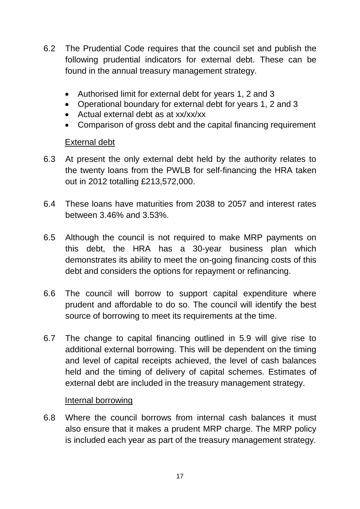- 6.2 The Prudential Code requires that the council set and publish the following prudential indicators for external debt. These can be found in the annual treasury management strategy.
	- Authorised limit for external debt for years 1, 2 and 3
	- Operational boundary for external debt for years 1, 2 and 3
	- Actual external debt as at xx/xx/xx
	- Comparison of gross debt and the capital financing requirement

# External debt

- 6.3 At present the only external debt held by the authority relates to the twenty loans from the PWLB for self-financing the HRA taken out in 2012 totalling £213,572,000.
- 6.4 These loans have maturities from 2038 to 2057 and interest rates between 3.46% and 3.53%.
- 6.5 Although the council is not required to make MRP payments on this debt, the HRA has a 30-year business plan which demonstrates its ability to meet the on-going financing costs of this debt and considers the options for repayment or refinancing.
- 6.6 The council will borrow to support capital expenditure where prudent and affordable to do so. The council will identify the best source of borrowing to meet its requirements at the time.
- 6.7 The change to capital financing outlined in 5.9 will give rise to additional external borrowing. This will be dependent on the timing and level of capital receipts achieved, the level of cash balances held and the timing of delivery of capital schemes. Estimates of external debt are included in the treasury management strategy.

### Internal borrowing

6.8 Where the council borrows from internal cash balances it must also ensure that it makes a prudent MRP charge. The MRP policy is included each year as part of the treasury management strategy.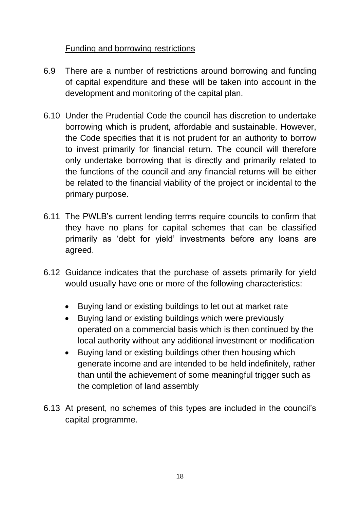# Funding and borrowing restrictions

- 6.9 There are a number of restrictions around borrowing and funding of capital expenditure and these will be taken into account in the development and monitoring of the capital plan.
- 6.10 Under the Prudential Code the council has discretion to undertake borrowing which is prudent, affordable and sustainable. However, the Code specifies that it is not prudent for an authority to borrow to invest primarily for financial return. The council will therefore only undertake borrowing that is directly and primarily related to the functions of the council and any financial returns will be either be related to the financial viability of the project or incidental to the primary purpose.
- 6.11 The PWLB's current lending terms require councils to confirm that they have no plans for capital schemes that can be classified primarily as 'debt for yield' investments before any loans are agreed.
- 6.12 Guidance indicates that the purchase of assets primarily for yield would usually have one or more of the following characteristics:
	- Buying land or existing buildings to let out at market rate
	- Buying land or existing buildings which were previously operated on a commercial basis which is then continued by the local authority without any additional investment or modification
	- Buying land or existing buildings other then housing which generate income and are intended to be held indefinitely, rather than until the achievement of some meaningful trigger such as the completion of land assembly
- 6.13 At present, no schemes of this types are included in the council's capital programme.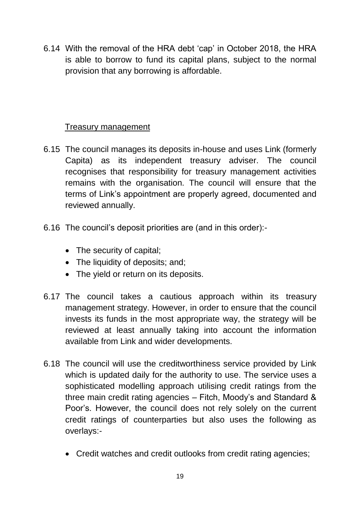6.14 With the removal of the HRA debt 'cap' in October 2018, the HRA is able to borrow to fund its capital plans, subject to the normal provision that any borrowing is affordable.

# Treasury management

- 6.15 The council manages its deposits in-house and uses Link (formerly Capita) as its independent treasury adviser. The council recognises that responsibility for treasury management activities remains with the organisation. The council will ensure that the terms of Link's appointment are properly agreed, documented and reviewed annually.
- 6.16 The council's deposit priorities are (and in this order):-
	- The security of capital;
	- The liquidity of deposits; and;
	- The yield or return on its deposits.
- 6.17 The council takes a cautious approach within its treasury management strategy. However, in order to ensure that the council invests its funds in the most appropriate way, the strategy will be reviewed at least annually taking into account the information available from Link and wider developments.
- 6.18 The council will use the creditworthiness service provided by Link which is updated daily for the authority to use. The service uses a sophisticated modelling approach utilising credit ratings from the three main credit rating agencies – Fitch, Moody's and Standard & Poor's. However, the council does not rely solely on the current credit ratings of counterparties but also uses the following as overlays:-
	- Credit watches and credit outlooks from credit rating agencies;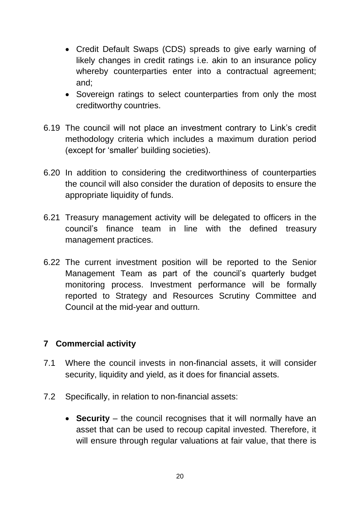- Credit Default Swaps (CDS) spreads to give early warning of likely changes in credit ratings i.e. akin to an insurance policy whereby counterparties enter into a contractual agreement; and;
- Sovereign ratings to select counterparties from only the most creditworthy countries.
- 6.19 The council will not place an investment contrary to Link's credit methodology criteria which includes a maximum duration period (except for 'smaller' building societies).
- 6.20 In addition to considering the creditworthiness of counterparties the council will also consider the duration of deposits to ensure the appropriate liquidity of funds.
- 6.21 Treasury management activity will be delegated to officers in the council's finance team in line with the defined treasury management practices.
- 6.22 The current investment position will be reported to the Senior Management Team as part of the council's quarterly budget monitoring process. Investment performance will be formally reported to Strategy and Resources Scrutiny Committee and Council at the mid-year and outturn.

### **7 Commercial activity**

- 7.1 Where the council invests in non-financial assets, it will consider security, liquidity and yield, as it does for financial assets.
- 7.2 Specifically, in relation to non-financial assets:
	- **Security** the council recognises that it will normally have an asset that can be used to recoup capital invested. Therefore, it will ensure through regular valuations at fair value, that there is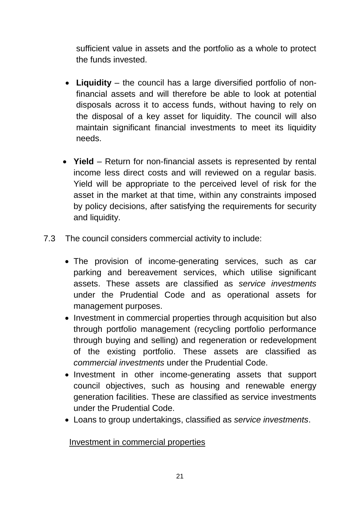sufficient value in assets and the portfolio as a whole to protect the funds invested.

- **Liquidity** the council has a large diversified portfolio of nonfinancial assets and will therefore be able to look at potential disposals across it to access funds, without having to rely on the disposal of a key asset for liquidity. The council will also maintain significant financial investments to meet its liquidity needs.
- **Yield** Return for non-financial assets is represented by rental income less direct costs and will reviewed on a regular basis. Yield will be appropriate to the perceived level of risk for the asset in the market at that time, within any constraints imposed by policy decisions, after satisfying the requirements for security and liquidity.
- 7.3 The council considers commercial activity to include:
	- The provision of income-generating services, such as car parking and bereavement services, which utilise significant assets. These assets are classified as *service investments* under the Prudential Code and as operational assets for management purposes.
	- Investment in commercial properties through acquisition but also through portfolio management (recycling portfolio performance through buying and selling) and regeneration or redevelopment of the existing portfolio. These assets are classified as *commercial investments* under the Prudential Code.
	- Investment in other income-generating assets that support council objectives, such as housing and renewable energy generation facilities. These are classified as service investments under the Prudential Code.
	- Loans to group undertakings, classified as *service investments*.

### Investment in commercial properties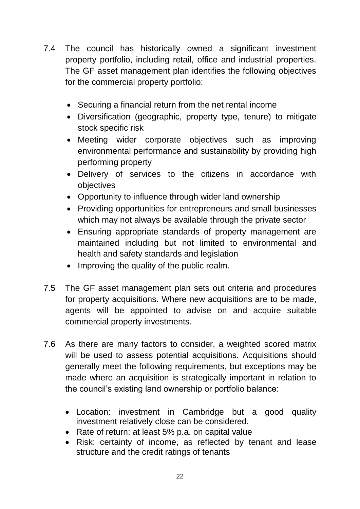- 7.4 The council has historically owned a significant investment property portfolio, including retail, office and industrial properties. The GF asset management plan identifies the following objectives for the commercial property portfolio:
	- Securing a financial return from the net rental income
	- Diversification (geographic, property type, tenure) to mitigate stock specific risk
	- Meeting wider corporate objectives such as improving environmental performance and sustainability by providing high performing property
	- Delivery of services to the citizens in accordance with objectives
	- Opportunity to influence through wider land ownership
	- Providing opportunities for entrepreneurs and small businesses which may not always be available through the private sector
	- Ensuring appropriate standards of property management are maintained including but not limited to environmental and health and safety standards and legislation
	- Improving the quality of the public realm.
- 7.5 The GF asset management plan sets out criteria and procedures for property acquisitions. Where new acquisitions are to be made, agents will be appointed to advise on and acquire suitable commercial property investments.
- 7.6 As there are many factors to consider, a weighted scored matrix will be used to assess potential acquisitions. Acquisitions should generally meet the following requirements, but exceptions may be made where an acquisition is strategically important in relation to the council's existing land ownership or portfolio balance:
	- Location: investment in Cambridge but a good quality investment relatively close can be considered.
	- Rate of return: at least 5% p.a. on capital value
	- Risk: certainty of income, as reflected by tenant and lease structure and the credit ratings of tenants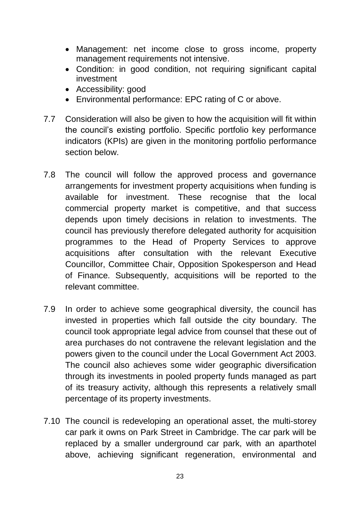- Management: net income close to gross income, property management requirements not intensive.
- Condition: in good condition, not requiring significant capital investment
- Accessibility: good
- Environmental performance: EPC rating of C or above.
- 7.7 Consideration will also be given to how the acquisition will fit within the council's existing portfolio. Specific portfolio key performance indicators (KPIs) are given in the monitoring portfolio performance section below.
- 7.8 The council will follow the approved process and governance arrangements for investment property acquisitions when funding is available for investment. These recognise that the local commercial property market is competitive, and that success depends upon timely decisions in relation to investments. The council has previously therefore delegated authority for acquisition programmes to the Head of Property Services to approve acquisitions after consultation with the relevant Executive Councillor, Committee Chair, Opposition Spokesperson and Head of Finance. Subsequently, acquisitions will be reported to the relevant committee.
- 7.9 In order to achieve some geographical diversity, the council has invested in properties which fall outside the city boundary. The council took appropriate legal advice from counsel that these out of area purchases do not contravene the relevant legislation and the powers given to the council under the Local Government Act 2003. The council also achieves some wider geographic diversification through its investments in pooled property funds managed as part of its treasury activity, although this represents a relatively small percentage of its property investments.
- 7.10 The council is redeveloping an operational asset, the multi-storey car park it owns on Park Street in Cambridge. The car park will be replaced by a smaller underground car park, with an aparthotel above, achieving significant regeneration, environmental and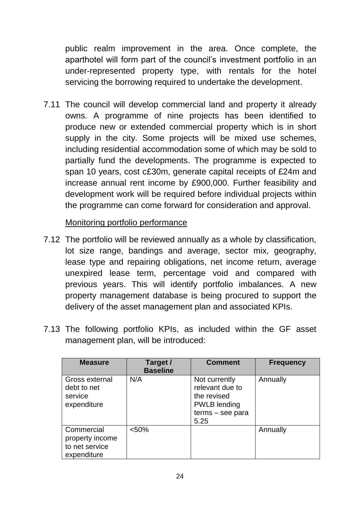public realm improvement in the area. Once complete, the aparthotel will form part of the council's investment portfolio in an under-represented property type, with rentals for the hotel servicing the borrowing required to undertake the development.

7.11 The council will develop commercial land and property it already owns. A programme of nine projects has been identified to produce new or extended commercial property which is in short supply in the city. Some projects will be mixed use schemes, including residential accommodation some of which may be sold to partially fund the developments. The programme is expected to span 10 years, cost c£30m, generate capital receipts of £24m and increase annual rent income by £900,000. Further feasibility and development work will be required before individual projects within the programme can come forward for consideration and approval.

### Monitoring portfolio performance

- 7.12 The portfolio will be reviewed annually as a whole by classification, lot size range, bandings and average, sector mix, geography, lease type and repairing obligations, net income return, average unexpired lease term, percentage void and compared with previous years. This will identify portfolio imbalances. A new property management database is being procured to support the delivery of the asset management plan and associated KPIs.
- 7.13 The following portfolio KPIs, as included within the GF asset management plan, will be introduced:

| <b>Measure</b>                                                 | Target /<br><b>Baseline</b> | <b>Comment</b>                                                                                     | <b>Frequency</b> |
|----------------------------------------------------------------|-----------------------------|----------------------------------------------------------------------------------------------------|------------------|
| Gross external<br>debt to net<br>service<br>expenditure        | N/A                         | Not currently<br>relevant due to<br>the revised<br><b>PWLB</b> lending<br>terms – see para<br>5.25 | Annually         |
| Commercial<br>property income<br>to net service<br>expenditure | < 50%                       |                                                                                                    | Annually         |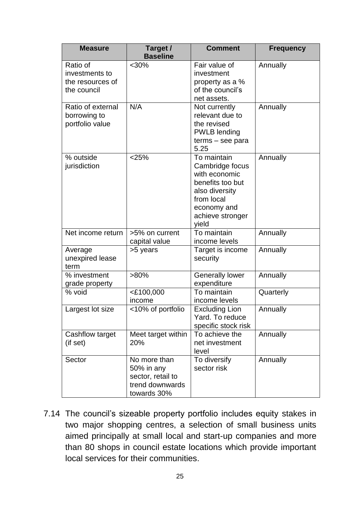| <b>Measure</b>                                                | Target /<br><b>Baseline</b>                                                       |                                                                                                                                                 | <b>Frequency</b> |  |  |
|---------------------------------------------------------------|-----------------------------------------------------------------------------------|-------------------------------------------------------------------------------------------------------------------------------------------------|------------------|--|--|
| Ratio of<br>investments to<br>the resources of<br>the council | $<$ 30%                                                                           | Fair value of<br>investment<br>property as a %<br>of the council's<br>net assets.                                                               | Annually         |  |  |
| Ratio of external<br>borrowing to<br>portfolio value          | N/A                                                                               | Not currently<br>relevant due to<br>the revised<br><b>PWLB</b> lending<br>terms - see para<br>5.25                                              | Annually         |  |  |
| % outside<br>jurisdiction                                     | < 25%                                                                             | To maintain<br>Cambridge focus<br>with economic<br>benefits too but<br>also diversity<br>from local<br>economy and<br>achieve stronger<br>yield | Annually         |  |  |
| Net income return                                             | >5% on current<br>capital value                                                   | To maintain<br>income levels                                                                                                                    | Annually         |  |  |
| Average<br>unexpired lease<br>term                            | >5 years                                                                          | Target is income<br>security                                                                                                                    | Annually         |  |  |
| % investment<br>grade property                                | $>80\%$                                                                           | <b>Generally lower</b><br>expenditure                                                                                                           | Annually         |  |  |
| % void                                                        | <£100,000<br>income                                                               | To maintain<br>income levels                                                                                                                    | Quarterly        |  |  |
| Largest lot size                                              | <10% of portfolio                                                                 | <b>Excluding Lion</b><br>Yard. To reduce<br>specific stock risk                                                                                 | Annually         |  |  |
| Cashflow target<br>(if set)                                   | Meet target within<br>20%                                                         | To achieve the<br>net investment<br>level                                                                                                       | Annually         |  |  |
| Sector                                                        | No more than<br>50% in any<br>sector, retail to<br>trend downwards<br>towards 30% | To diversify<br>sector risk                                                                                                                     | Annually         |  |  |

7.14 The council's sizeable property portfolio includes equity stakes in two major shopping centres, a selection of small business units aimed principally at small local and start-up companies and more than 80 shops in council estate locations which provide important local services for their communities.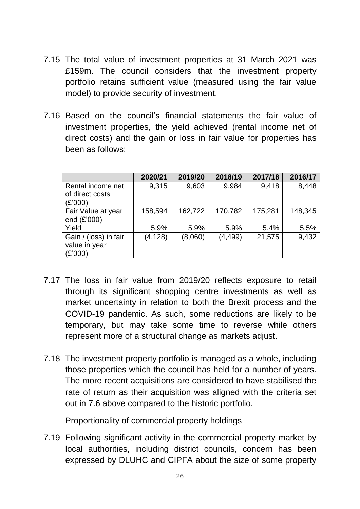- 7.15 The total value of investment properties at 31 March 2021 was £159m. The council considers that the investment property portfolio retains sufficient value (measured using the fair value model) to provide security of investment.
- 7.16 Based on the council's financial statements the fair value of investment properties, the yield achieved (rental income net of direct costs) and the gain or loss in fair value for properties has been as follows:

|                                                   | 2020/21  | 2019/20 | 2018/19  | 2017/18 | 2016/17 |
|---------------------------------------------------|----------|---------|----------|---------|---------|
| Rental income net<br>of direct costs<br>(£'000)   | 9,315    | 9,603   | 9,984    | 9,418   | 8,448   |
| Fair Value at year<br>end (£'000)                 | 158,594  | 162,722 | 170,782  | 175,281 | 148,345 |
| Yield                                             | 5.9%     | 5.9%    | 5.9%     | 5.4%    | 5.5%    |
| Gain / (loss) in fair<br>value in year<br>(£'000) | (4, 128) | (8,060) | (4, 499) | 21,575  | 9,432   |

- 7.17 The loss in fair value from 2019/20 reflects exposure to retail through its significant shopping centre investments as well as market uncertainty in relation to both the Brexit process and the COVID-19 pandemic. As such, some reductions are likely to be temporary, but may take some time to reverse while others represent more of a structural change as markets adjust.
- 7.18 The investment property portfolio is managed as a whole, including those properties which the council has held for a number of years. The more recent acquisitions are considered to have stabilised the rate of return as their acquisition was aligned with the criteria set out in 7.6 above compared to the historic portfolio.

Proportionality of commercial property holdings

7.19 Following significant activity in the commercial property market by local authorities, including district councils, concern has been expressed by DLUHC and CIPFA about the size of some property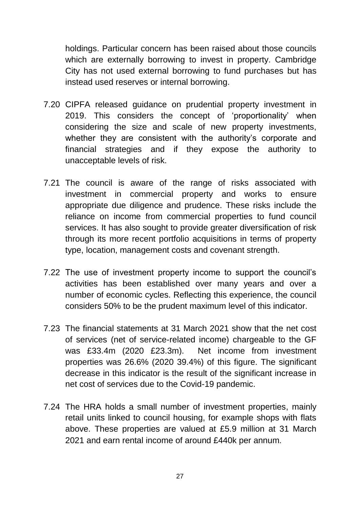holdings. Particular concern has been raised about those councils which are externally borrowing to invest in property. Cambridge City has not used external borrowing to fund purchases but has instead used reserves or internal borrowing.

- 7.20 CIPFA released guidance on prudential property investment in 2019. This considers the concept of 'proportionality' when considering the size and scale of new property investments, whether they are consistent with the authority's corporate and financial strategies and if they expose the authority to unacceptable levels of risk.
- 7.21 The council is aware of the range of risks associated with investment in commercial property and works to ensure appropriate due diligence and prudence. These risks include the reliance on income from commercial properties to fund council services. It has also sought to provide greater diversification of risk through its more recent portfolio acquisitions in terms of property type, location, management costs and covenant strength.
- 7.22 The use of investment property income to support the council's activities has been established over many years and over a number of economic cycles. Reflecting this experience, the council considers 50% to be the prudent maximum level of this indicator.
- 7.23 The financial statements at 31 March 2021 show that the net cost of services (net of service-related income) chargeable to the GF was £33.4m (2020 £23.3m). Net income from investment properties was 26.6% (2020 39.4%) of this figure. The significant decrease in this indicator is the result of the significant increase in net cost of services due to the Covid-19 pandemic.
- 7.24 The HRA holds a small number of investment properties, mainly retail units linked to council housing, for example shops with flats above. These properties are valued at £5.9 million at 31 March 2021 and earn rental income of around £440k per annum.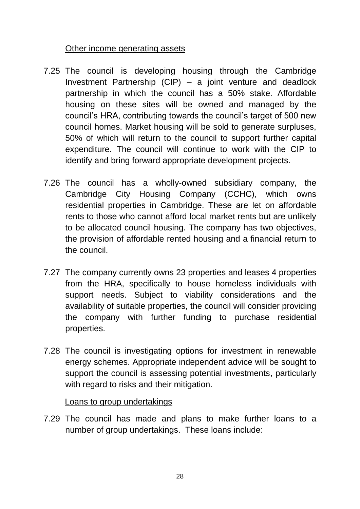### Other income generating assets

- 7.25 The council is developing housing through the Cambridge Investment Partnership (CIP) – a joint venture and deadlock partnership in which the council has a 50% stake. Affordable housing on these sites will be owned and managed by the council's HRA, contributing towards the council's target of 500 new council homes. Market housing will be sold to generate surpluses, 50% of which will return to the council to support further capital expenditure. The council will continue to work with the CIP to identify and bring forward appropriate development projects.
- 7.26 The council has a wholly-owned subsidiary company, the Cambridge City Housing Company (CCHC), which owns residential properties in Cambridge. These are let on affordable rents to those who cannot afford local market rents but are unlikely to be allocated council housing. The company has two objectives, the provision of affordable rented housing and a financial return to the council.
- 7.27 The company currently owns 23 properties and leases 4 properties from the HRA, specifically to house homeless individuals with support needs. Subject to viability considerations and the availability of suitable properties, the council will consider providing the company with further funding to purchase residential properties.
- 7.28 The council is investigating options for investment in renewable energy schemes. Appropriate independent advice will be sought to support the council is assessing potential investments, particularly with regard to risks and their mitigation.

### Loans to group undertakings

7.29 The council has made and plans to make further loans to a number of group undertakings. These loans include: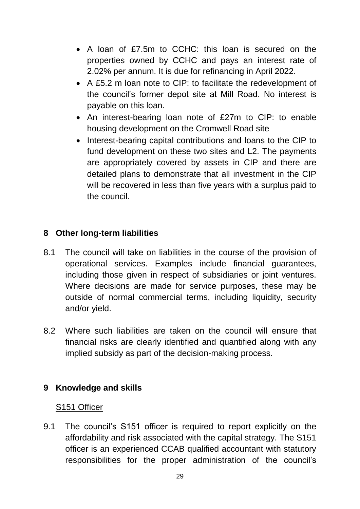- A loan of £7.5m to CCHC: this loan is secured on the properties owned by CCHC and pays an interest rate of 2.02% per annum. It is due for refinancing in April 2022.
- A £5.2 m loan note to CIP: to facilitate the redevelopment of the council's former depot site at Mill Road. No interest is payable on this loan.
- An interest-bearing loan note of £27m to CIP: to enable housing development on the Cromwell Road site
- Interest-bearing capital contributions and loans to the CIP to fund development on these two sites and L2. The payments are appropriately covered by assets in CIP and there are detailed plans to demonstrate that all investment in the CIP will be recovered in less than five years with a surplus paid to the council.

# **8 Other long-term liabilities**

- 8.1 The council will take on liabilities in the course of the provision of operational services. Examples include financial guarantees, including those given in respect of subsidiaries or joint ventures. Where decisions are made for service purposes, these may be outside of normal commercial terms, including liquidity, security and/or yield.
- 8.2 Where such liabilities are taken on the council will ensure that financial risks are clearly identified and quantified along with any implied subsidy as part of the decision-making process.

# **9 Knowledge and skills**

# S151 Officer

9.1 The council's S151 officer is required to report explicitly on the affordability and risk associated with the capital strategy. The S151 officer is an experienced CCAB qualified accountant with statutory responsibilities for the proper administration of the council's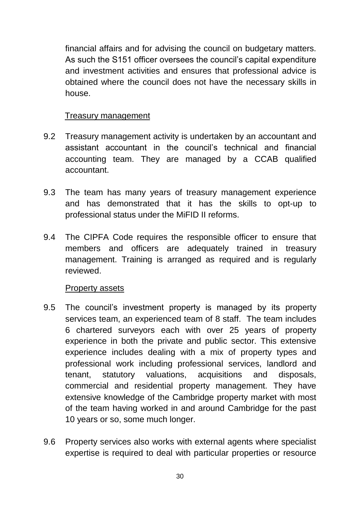financial affairs and for advising the council on budgetary matters. As such the S151 officer oversees the council's capital expenditure and investment activities and ensures that professional advice is obtained where the council does not have the necessary skills in house.

### Treasury management

- 9.2 Treasury management activity is undertaken by an accountant and assistant accountant in the council's technical and financial accounting team. They are managed by a CCAB qualified accountant.
- 9.3 The team has many years of treasury management experience and has demonstrated that it has the skills to opt-up to professional status under the MiFID II reforms.
- 9.4 The CIPFA Code requires the responsible officer to ensure that members and officers are adequately trained in treasury management. Training is arranged as required and is regularly reviewed.

#### Property assets

- 9.5 The council's investment property is managed by its property services team, an experienced team of 8 staff. The team includes 6 chartered surveyors each with over 25 years of property experience in both the private and public sector. This extensive experience includes dealing with a mix of property types and professional work including professional services, landlord and tenant, statutory valuations, acquisitions and disposals, commercial and residential property management. They have extensive knowledge of the Cambridge property market with most of the team having worked in and around Cambridge for the past 10 years or so, some much longer.
- 9.6 Property services also works with external agents where specialist expertise is required to deal with particular properties or resource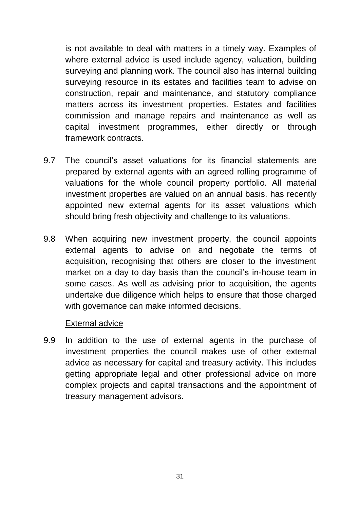is not available to deal with matters in a timely way. Examples of where external advice is used include agency, valuation, building surveying and planning work. The council also has internal building surveying resource in its estates and facilities team to advise on construction, repair and maintenance, and statutory compliance matters across its investment properties. Estates and facilities commission and manage repairs and maintenance as well as capital investment programmes, either directly or through framework contracts.

- 9.7 The council's asset valuations for its financial statements are prepared by external agents with an agreed rolling programme of valuations for the whole council property portfolio. All material investment properties are valued on an annual basis. has recently appointed new external agents for its asset valuations which should bring fresh objectivity and challenge to its valuations.
- 9.8 When acquiring new investment property, the council appoints external agents to advise on and negotiate the terms of acquisition, recognising that others are closer to the investment market on a day to day basis than the council's in-house team in some cases. As well as advising prior to acquisition, the agents undertake due diligence which helps to ensure that those charged with governance can make informed decisions.

#### External advice

9.9 In addition to the use of external agents in the purchase of investment properties the council makes use of other external advice as necessary for capital and treasury activity. This includes getting appropriate legal and other professional advice on more complex projects and capital transactions and the appointment of treasury management advisors.